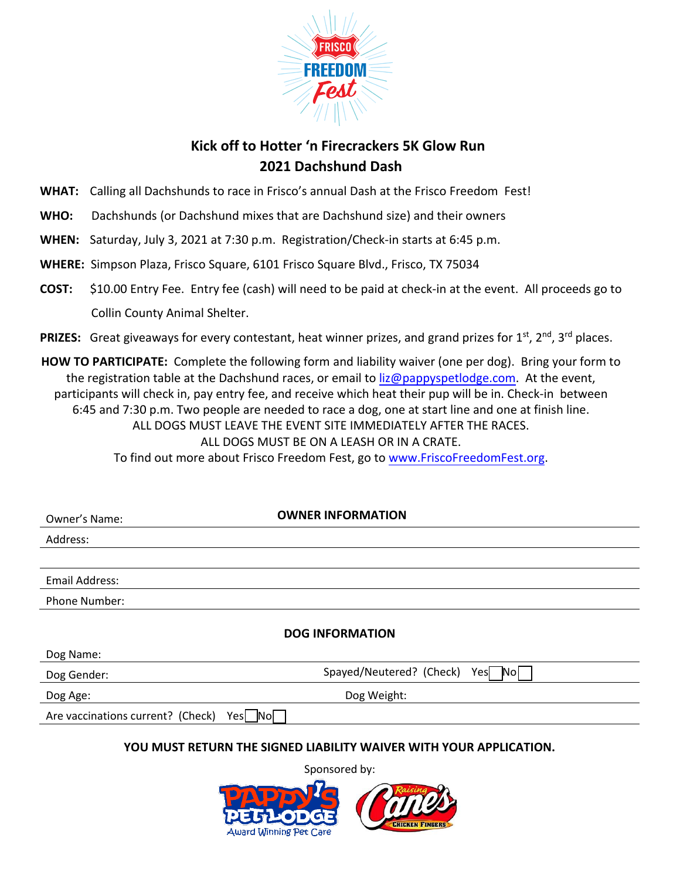